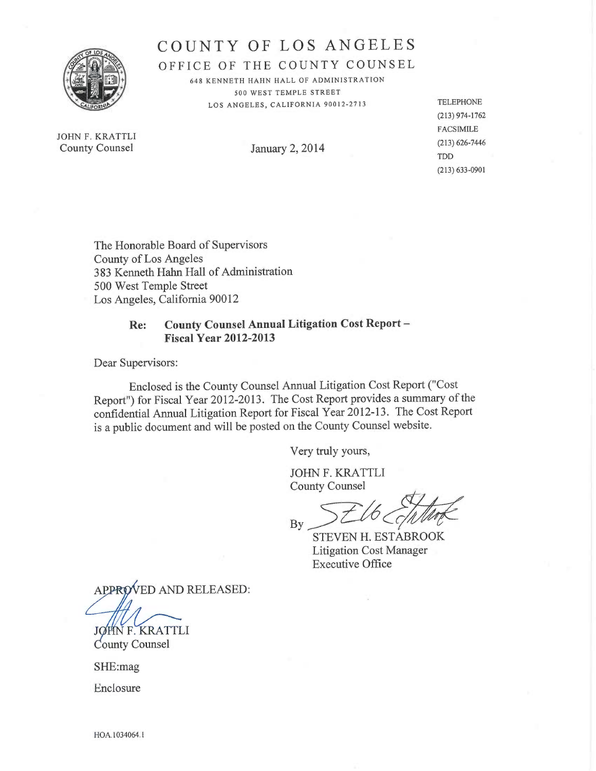

# COUNTY OF LOS ANGELES

OFFICE OF THE COUNTY COUNSEL

648 KENNETH HAHN HALL OF ADMINISTRATION 500 WEST TEMPLE STREET LOS ANGELES, CALIFORNIA 90012-2713 TELEPHONE

JOHN F. KRATTLI County Counsel January 2, 2014 (213) 626-7446

(213)974-1762 FACSIMILE TDD (213)633-0901

The Honorable Board of Supervisors County of Los Angeles 383 Kenneth Hahn Hall of Administration 500 West Temple Street Los Angeles, California 90012

# Re: County Counsel Annual Litigation Cost Report — Fiscal Year 2012-2013

Dear Supervisors:

Enclosed is the County Counsel Annual Litigation Cost Report ("Cost Report") for Fiscal Year 2012-2013. The Cost Report provides a summary of the confidential Annual Litigation Report for Fiscal Year 2012-13. The Cost Report is a public document and will be posted on the County Counsel website.

Very truly yours,

JOHN F. KRATTLI County Counsel

 $By$ 

STEVEN H. ESTABROOK Litigation Cost Manager Executive Office

APPROVED AND RELEASED:

JØHN F. KRATTLI County Counsel

SHE:mag

Enclosure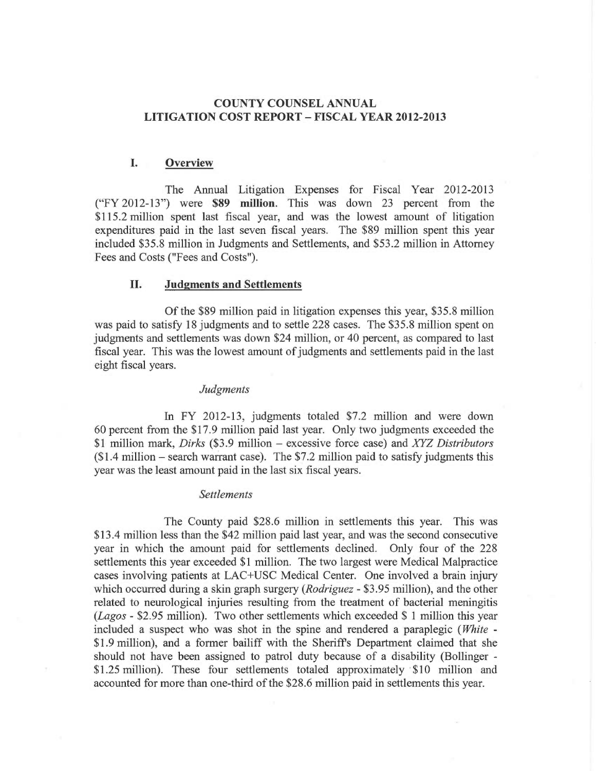## COUNTY COUNSEL ANNUAL LITIGATION COST REPORT — FISCAL YEAR 2012-2013

## I. Overview

The Annual Litigation Expenses for Fiscal Year 2012-2013 ("FY 2012-13") were \$89 million. This was down 23 percent from the \$115.2 million spent last fiscal year, and was the lowest amount of litigation expenditures paid in the last seven fiscal years. The \$89 million spent this year included \$35.8 million in Judgments and Settlements, and \$53.2 million in Attorney Fees and Costs ("Fees and Costs").

## II. Judgments and Settlements

Of the \$89 million paid in litigation expenses this year, \$35.8 million was paid to satisfy 18 judgments and to settle 228 cases. The \$35.8 million spent on judgments and settlements was down \$24 million, or 40 percent, as compared to last fiscal year. This was the lowest amount of judgments and settlements paid in the last eight fiscal years.

#### Judgments

In FY 2012-13, judgments totaled \$7.2 million and were down 60 percent from the \$17.9 million paid last year. Only two judgments exceeded the \$1 million mark, Dirks (\$3.9 million — excessive force case) and XYZ Distributors  $$1.4$  million – search warrant case). The \$7.2 million paid to satisfy judgments this year was the least amount paid in the last six fiscal years.

#### Settlements

The County paid \$28.6 million in settlements this year. This was \$13.4 million less than the \$42 million paid last year, and was the second consecutive year in which the amount paid for settlements declined. Only four of the 228 settlements this year exceeded \$1 million. The two largest were Medical Malpractice cases involving patients at LAC+USC Medical Center. One involved a brain injury which occurred during a skin graph surgery (*Rodriguez* - \$3.95 million), and the other related to neurological injuries resulting from the treatment of bacterial meningitis (Lagos - \$2.95 million). Two other settlements which exceeded \$ 1 million this year included a suspect who was shot in the spine and rendered a paraplegic (White - \$1.9 million), and a former bailiff with the Sheriffs Department claimed that she should not have been assigned to patrol duty because of a disability (Bollinger - \$1.25 million). These four settlements totaled approximately \$10 million and accounted for more than one-third of the \$28.6 million paid in settlements this year.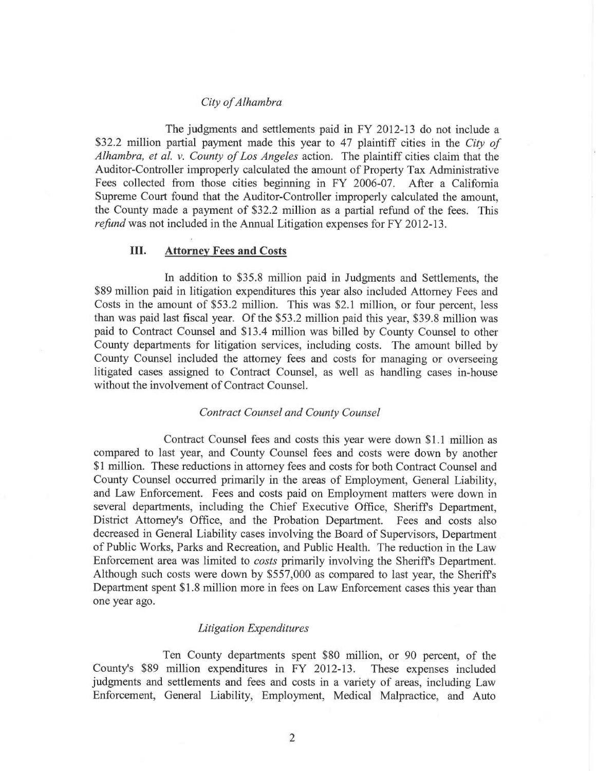#### City of Alhambra

The judgments and settlements paid in FY 2012-13 do not include <sup>a</sup> \$32.2 million partial payment made this year to 47 plaintiff cities in the City of Alhambra, et al. v. County of Los Angeles action. The plaintiff cities claim that the Auditor-Controller improperly calculated the amount of Property Tax Administrative Fees collected from those cities beginning in FY 2006-07. After a California Supreme Court found that the Auditor-Controller improperly calculated the amount, the County made a payment of \$32.2 million as a partial refund of the fees. This refund was not included in the Annual Litigation expenses for FY 2012-13.

### III. Attorney Fees and Costs

In addition to \$35.8 million paid in Judgments and Settlements, the \$89 million paid in litigation expenditures this year also included Attorney Fees and Costs in the amount of \$53.2 million. This was \$2.1 million, or four percent, less than was paid last fiscal year. Of the \$53.2 million paid this year, \$39.8 million was paid to Contract Counsel and \$13.4 million was billed by County Counsel to other County departments for litigation services, including costs. The amount billed by County Counsel included the attorney fees and costs for managing or overseeing litigated cases assigned to Contract Counsel, as well as handling cases in-house without the involvement of Contract Counsel.

#### Contract Counsel and County Counsel

Contract Counsel fees and costs this year were down \$1.1 million as compared to last year, and County Counsel fees and costs were down by another \$1 million. These reductions in attorney fees and costs for both Contract Counsel and County Counsel occurred primarily in the areas of Employment, General Liability, and Law Enforcement. Fees and costs paid on Employment matters were down in several departments, including the Chief Executive Office, Sheriffs Department, District Attorney's Office, and the Probation Department. Fees and costs also decreased in General Liability cases involving the Board of Supervisors, Department of Public Works, Parks and Recreation, and Public Health. The reduction in the Law Enforcement area was limited to costs primarily involving the Sheriffs Department. Although such costs were down by \$557,000 as compared to last year, the Sheriffs Department spent \$1.8 million more in fees on Law Enforcement cases this year than one year ago.

#### Litigation Expenditures

Ten County departments spent \$80 million, or 90 percent, of the County's \$89 million expenditures in FY 2012-13. These expenses included judgments and settlements and fees and costs in a variety of areas, including Law Enforcement, General Liability, Employment, Medical Malpractice, and Auto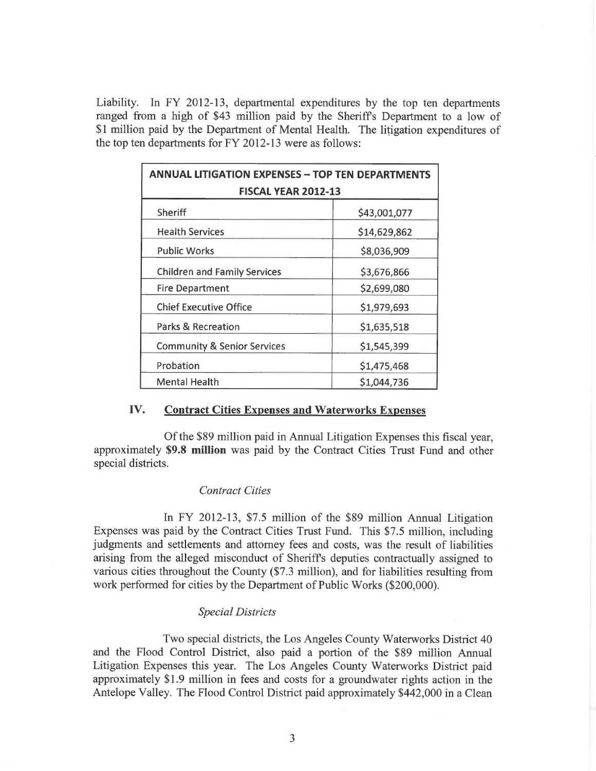Liability. In FY 2012-13, departmental expenditures by the top ten departments ranged from a high of \$43 million paid by the Sheriffs Department to a low of \$1 million paid by the Department of Mental Health. The litigation expenditures of the top ten departments for FY 2012-13 were as follows:

| <b>ANNUAL LITIGATION EXPENSES - TOP TEN DEPARTMENTS</b><br><b>FISCAL YEAR 2012-13</b> |              |
|---------------------------------------------------------------------------------------|--------------|
| Sheriff                                                                               | \$43,001,077 |
| <b>Health Services</b>                                                                | \$14,629,862 |
| <b>Public Works</b>                                                                   | \$8,036,909  |
| <b>Children and Family Services</b>                                                   | \$3,676,866  |
| <b>Fire Department</b>                                                                | \$2,699,080  |
| <b>Chief Executive Office</b>                                                         | \$1,979,693  |
| <b>Parks &amp; Recreation</b>                                                         | \$1,635,518  |
| <b>Community &amp; Senior Services</b>                                                | \$1,545,399  |
| Probation                                                                             | \$1,475,468  |
| <b>Mental Health</b>                                                                  | \$1,044,736  |

#### IV. Contract Cities Expenses and Waterworks Expenses

Of the \$89 million paid in Annual Litigation Expenses this fiscal year, approximately \$9.8 million was paid by the Contract Cities Trust Fund and other special districts.

#### Contract Cities

In FY 2012-13, \$7.5 million of the \$89 million Annual Litigation Expenses was paid by the Contract Cities Trust Fund. This \$7.5 million, including judgments and settlements and attorney fees and costs, was the result of liabilities arising from the alleged misconduct of Sheriffs deputies contractually assigned to various cities throughout the County (\$7.3 million), and for liabilities resulting from work performed for cities by the Department of Public Works (\$200,000).

#### Special Districts

Two special districts, the Los Angeles County Waterworks District 40 and the Flood Control District, also paid a portion of the \$89 million Annual Litigation Expenses this year. The Los Angeles County Waterworks District paid approximately \$1.9 million in fees and costs for a groundwater rights action in the Antelope Valley. The Flood Control District paid approximately \$442,000 in a Clean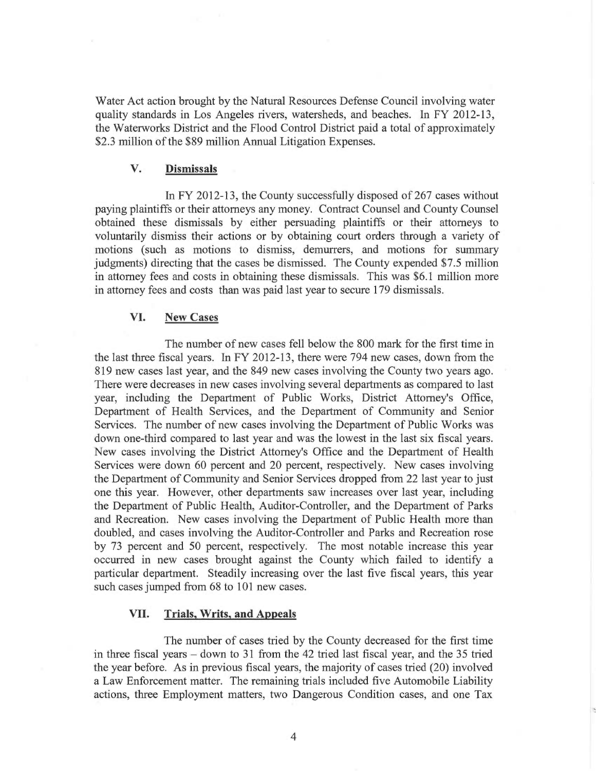Water Act action brought by the Natural Resources Defense Council involving water quality standards in Los Angeles rivers, watersheds, and beaches. In FY 2012-13, the Waterworks District and the Flood Control District paid a total of approximately \$2.3 million of the \$89 million Annual Litigation Expenses.

## V. Dismissals

In FY 2012-13, the County successfully disposed of 267 cases without paying plaintiffs or their attorneys any money. Contract Counsel and County Counsel obtained these dismissals by either persuading plaintiffs or their attorneys to voluntarily dismiss their actions or by obtaining court orders through a variety of motions (such as motions to dismiss, demurrers, and motions for summary judgments) directing that the cases be dismissed. The County expended \$7.5 million in attorney fees and costs in obtaining these dismissals. This was \$6.1 million more in attorney fees and costs than was paid last year to secure 179 dismissals.

## VI. New Cases

The number of new cases fell below the 800 mark for the first time in the last three fiscal years. In FY 2012-13, there were 794 new cases, down from the 819 new cases last year, and the 849 new cases involving the County two years ago. There were decreases in new cases involving several departments as compared to last year, including the Department of Public Works, District Attorney's Office, Department of Health Services, and the Department of Community and Senior Services. The number of new cases involving the Department of Public Works was down one-third compared to last year and was the lowest in the last six fiscal years. New cases involving the District Attorney's Office and the Department of Health Services were down 60 percent and 20 percent, respectively. New cases involving the Department of Community and Senior Services dropped from 22 last year to just one this year. However, other departments saw increases over last year, including the Department of Public Health, Auditor-Controller, and the Department of Parks and Recreation. New cases involving the Department of Public Health more than doubled, and cases involving the Auditor-Controller and Parks and Recreation rose by 73 percent and 50 percent, respectively. The most notable increase this year occurred in new cases brought against the County which failed to identify a particular department. Steadily increasing over the last five fiscal years, this year such cases jumped from 68 to 101 new cases.

### VII. Trials, Writs, and Appeals

The number of cases tried by the County decreased for the first time in three fiscal years – down to 31 from the 42 tried last fiscal year, and the 35 tried the year before. As in previous fiscal years, the majority of cases tried (20) involved a Law Enforcement matter. The remaining trials included five Automobile Liability actions, three Employment matters, two Dangerous Condition cases, and one Tax